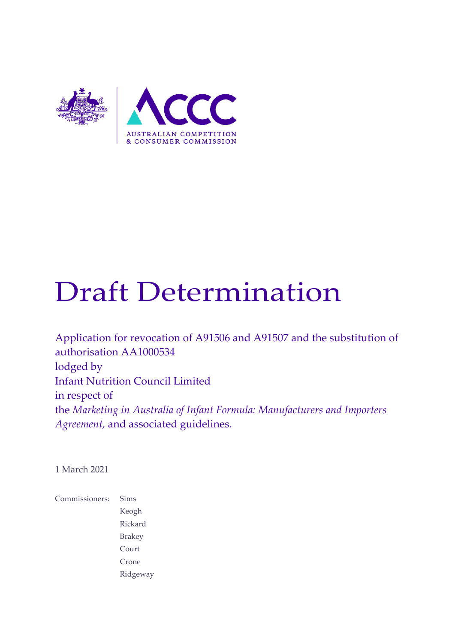

# Draft Determination

Application for revocation of A91506 and A91507 and the substitution of authorisation AA1000534 lodged by Infant Nutrition Council Limited in respect of the *Marketing in Australia of Infant Formula: Manufacturers and Importers Agreement,* and associated guidelines.

1 March 2021

Commissioners: Sims Keogh Rickard Brakey Court Crone Ridgeway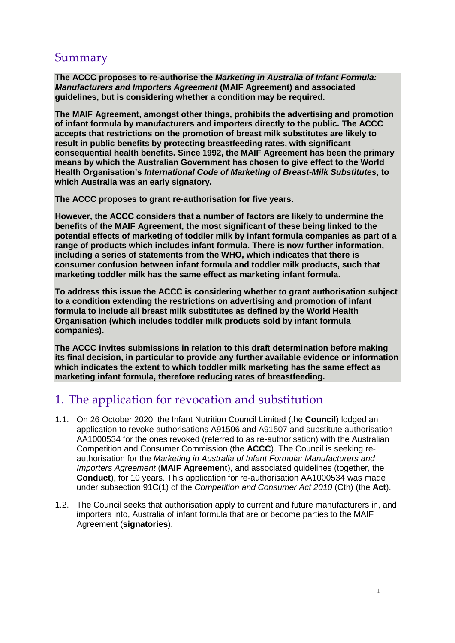# Summary

**The ACCC proposes to re-authorise the** *Marketing in Australia of Infant Formula: Manufacturers and Importers Agreement* **(MAIF Agreement) and associated guidelines, but is considering whether a condition may be required.**

**The MAIF Agreement, amongst other things, prohibits the advertising and promotion of infant formula by manufacturers and importers directly to the public. The ACCC accepts that restrictions on the promotion of breast milk substitutes are likely to result in public benefits by protecting breastfeeding rates, with significant consequential health benefits. Since 1992, the MAIF Agreement has been the primary means by which the Australian Government has chosen to give effect to the World Health Organisation's** *International Code of Marketing of Breast-Milk Substitutes***, to which Australia was an early signatory.**

**The ACCC proposes to grant re-authorisation for five years.**

**However, the ACCC considers that a number of factors are likely to undermine the benefits of the MAIF Agreement, the most significant of these being linked to the potential effects of marketing of toddler milk by infant formula companies as part of a range of products which includes infant formula. There is now further information, including a series of statements from the WHO, which indicates that there is consumer confusion between infant formula and toddler milk products, such that marketing toddler milk has the same effect as marketing infant formula.**

**To address this issue the ACCC is considering whether to grant authorisation subject to a condition extending the restrictions on advertising and promotion of infant formula to include all breast milk substitutes as defined by the World Health Organisation (which includes toddler milk products sold by infant formula companies).**

**The ACCC invites submissions in relation to this draft determination before making its final decision, in particular to provide any further available evidence or information which indicates the extent to which toddler milk marketing has the same effect as marketing infant formula, therefore reducing rates of breastfeeding.**

# 1. The application for revocation and substitution

- 1.1. On 26 October 2020, the Infant Nutrition Council Limited (the **Council**) lodged an application to revoke authorisations A91506 and A91507 and substitute authorisation AA1000534 for the ones revoked (referred to as re-authorisation) with the Australian Competition and Consumer Commission (the **ACCC**). The Council is seeking reauthorisation for the *Marketing in Australia of Infant Formula: Manufacturers and Importers Agreement* (**MAIF Agreement**), and associated guidelines (together, the **Conduct**), for 10 years. This application for re-authorisation AA1000534 was made under subsection 91C(1) of the *Competition and Consumer Act 2010* (Cth) (the **Act**).
- 1.2. The Council seeks that authorisation apply to current and future manufacturers in, and importers into, Australia of infant formula that are or become parties to the MAIF Agreement (**signatories**).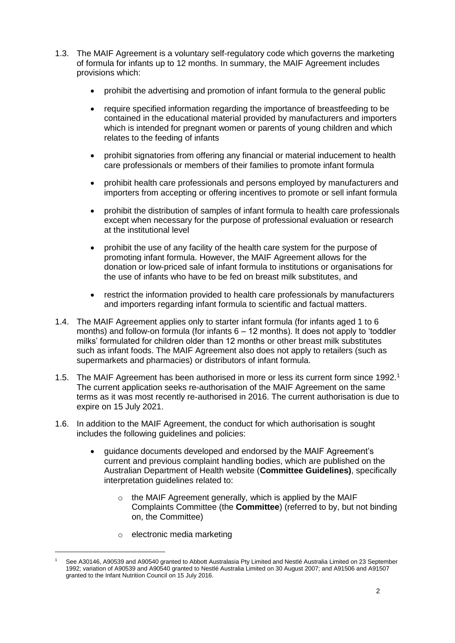- 1.3. The MAIF Agreement is a voluntary self-regulatory code which governs the marketing of formula for infants up to 12 months. In summary, the MAIF Agreement includes provisions which:
	- prohibit the advertising and promotion of infant formula to the general public
	- require specified information regarding the importance of breastfeeding to be contained in the educational material provided by manufacturers and importers which is intended for pregnant women or parents of young children and which relates to the feeding of infants
	- prohibit signatories from offering any financial or material inducement to health care professionals or members of their families to promote infant formula
	- prohibit health care professionals and persons employed by manufacturers and importers from accepting or offering incentives to promote or sell infant formula
	- prohibit the distribution of samples of infant formula to health care professionals except when necessary for the purpose of professional evaluation or research at the institutional level
	- prohibit the use of any facility of the health care system for the purpose of promoting infant formula. However, the MAIF Agreement allows for the donation or low-priced sale of infant formula to institutions or organisations for the use of infants who have to be fed on breast milk substitutes, and
	- restrict the information provided to health care professionals by manufacturers and importers regarding infant formula to scientific and factual matters.
- 1.4. The MAIF Agreement applies only to starter infant formula (for infants aged 1 to 6 months) and follow-on formula (for infants  $6 - 12$  months). It does not apply to 'toddler milks' formulated for children older than 12 months or other breast milk substitutes such as infant foods. The MAIF Agreement also does not apply to retailers (such as supermarkets and pharmacies) or distributors of infant formula.
- 1.5. The MAIF Agreement has been authorised in more or less its current form since 1992.<sup>1</sup> The current application seeks re-authorisation of the MAIF Agreement on the same terms as it was most recently re-authorised in 2016. The current authorisation is due to expire on 15 July 2021.
- 1.6. In addition to the MAIF Agreement, the conduct for which authorisation is sought includes the following guidelines and policies:
	- quidance documents developed and endorsed by the MAIF Agreement's current and previous complaint handling bodies, which are published on the Australian Department of Health website (**Committee Guidelines)**, specifically interpretation guidelines related to:
		- $\circ$  the MAIF Agreement generally, which is applied by the MAIF Complaints Committee (the **Committee**) (referred to by, but not binding on, the Committee)
		- o electronic media marketing

<sup>1</sup> See A30146, A90539 and A90540 granted to Abbott Australasia Pty Limited and Nestlé Australia Limited on 23 September 1992; variation of A90539 and A90540 granted to Nestlé Australia Limited on 30 August 2007; and A91506 and A91507 granted to the Infant Nutrition Council on 15 July 2016.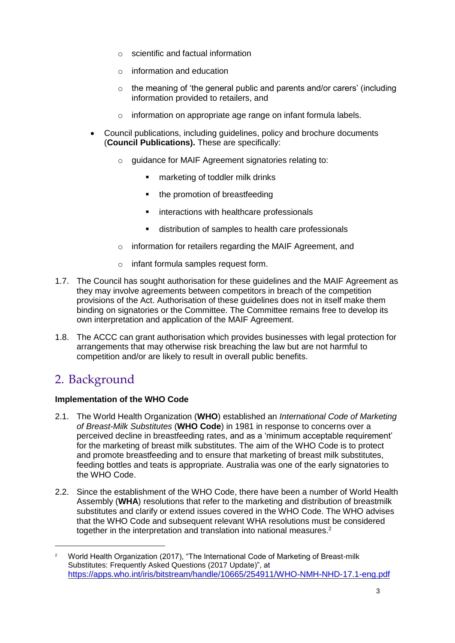- o scientific and factual information
- o information and education
- $\circ$  the meaning of 'the general public and parents and/or carers' (including information provided to retailers, and
- o information on appropriate age range on infant formula labels.
- Council publications, including guidelines, policy and brochure documents (**Council Publications).** These are specifically:
	- o guidance for MAIF Agreement signatories relating to:
		- **EXECUTE:** marketing of toddler milk drinks
		- the promotion of breastfeeding
		- **EXECT** interactions with healthcare professionals
		- distribution of samples to health care professionals
	- o information for retailers regarding the MAIF Agreement, and
	- o infant formula samples request form.
- 1.7. The Council has sought authorisation for these guidelines and the MAIF Agreement as they may involve agreements between competitors in breach of the competition provisions of the Act. Authorisation of these guidelines does not in itself make them binding on signatories or the Committee. The Committee remains free to develop its own interpretation and application of the MAIF Agreement.
- 1.8. The ACCC can grant authorisation which provides businesses with legal protection for arrangements that may otherwise risk breaching the law but are not harmful to competition and/or are likely to result in overall public benefits.

# 2. Background

-

#### **Implementation of the WHO Code**

- 2.1. The World Health Organization (**WHO**) established an *International Code of Marketing of Breast-Milk Substitutes* (**WHO Code**) in 1981 in response to concerns over a perceived decline in breastfeeding rates, and as a 'minimum acceptable requirement' for the marketing of breast milk substitutes. The aim of the WHO Code is to protect and promote breastfeeding and to ensure that marketing of breast milk substitutes, feeding bottles and teats is appropriate. Australia was one of the early signatories to the WHO Code.
- 2.2. Since the establishment of the WHO Code, there have been a number of World Health Assembly (**WHA**) resolutions that refer to the marketing and distribution of breastmilk substitutes and clarify or extend issues covered in the WHO Code. The WHO advises that the WHO Code and subsequent relevant WHA resolutions must be considered together in the interpretation and translation into national measures.<sup>2</sup>

<sup>&</sup>lt;sup>2</sup> World Health Organization (2017), "The International Code of Marketing of Breast-milk Substitutes: Frequently Asked Questions (2017 Update)", at <https://apps.who.int/iris/bitstream/handle/10665/254911/WHO-NMH-NHD-17.1-eng.pdf>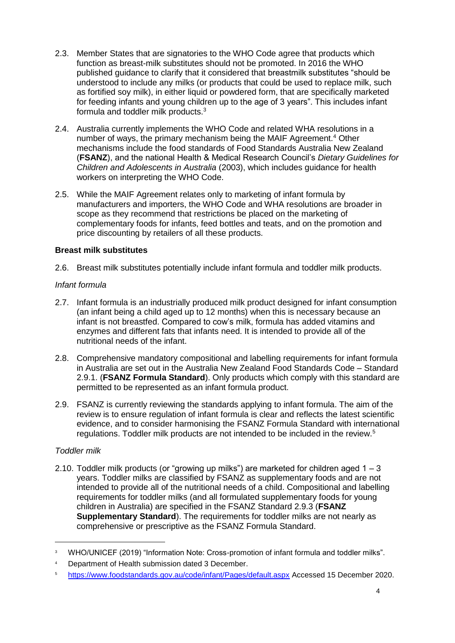- 2.3. Member States that are signatories to the WHO Code agree that products which function as breast-milk substitutes should not be promoted. In 2016 the WHO published guidance to clarify that it considered that breastmilk substitutes "should be understood to include any milks (or products that could be used to replace milk, such as fortified soy milk), in either liquid or powdered form, that are specifically marketed for feeding infants and young children up to the age of 3 years". This includes infant formula and toddler milk products.<sup>3</sup>
- 2.4. Australia currently implements the WHO Code and related WHA resolutions in a number of ways, the primary mechanism being the MAIF Agreement.<sup>4</sup> Other mechanisms include the food standards of Food Standards Australia New Zealand (**FSANZ**), and the national Health & Medical Research Council's *Dietary Guidelines for Children and Adolescents in Australia* (2003), which includes guidance for health workers on interpreting the WHO Code.
- 2.5. While the MAIF Agreement relates only to marketing of infant formula by manufacturers and importers, the WHO Code and WHA resolutions are broader in scope as they recommend that restrictions be placed on the marketing of complementary foods for infants, feed bottles and teats, and on the promotion and price discounting by retailers of all these products.

#### **Breast milk substitutes**

2.6. Breast milk substitutes potentially include infant formula and toddler milk products.

#### *Infant formula*

- 2.7. Infant formula is an industrially produced milk product designed for infant consumption (an infant being a child aged up to 12 months) when this is necessary because an infant is not breastfed. Compared to cow's milk, formula has added vitamins and enzymes and different fats that infants need. It is intended to provide all of the nutritional needs of the infant.
- 2.8. Comprehensive mandatory compositional and labelling requirements for infant formula in Australia are set out in the Australia New Zealand Food Standards Code – Standard 2.9.1. (**FSANZ Formula Standard**). Only products which comply with this standard are permitted to be represented as an infant formula product.
- 2.9. FSANZ is currently reviewing the standards applying to infant formula. The aim of the review is to ensure regulation of infant formula is clear and reflects the latest scientific evidence, and to consider harmonising the FSANZ Formula Standard with international regulations. Toddler milk products are not intended to be included in the review.<sup>5</sup>

#### *Toddler milk*

-

2.10. Toddler milk products (or "growing up milks") are marketed for children aged  $1 - 3$ years. Toddler milks are classified by FSANZ as supplementary foods and are not intended to provide all of the nutritional needs of a child. Compositional and labelling requirements for toddler milks (and all formulated supplementary foods for young children in Australia) are specified in the FSANZ Standard 2.9.3 (**FSANZ Supplementary Standard**). The requirements for toddler milks are not nearly as comprehensive or prescriptive as the FSANZ Formula Standard.

<sup>&</sup>lt;sup>3</sup> WHO/UNICEF (2019) "Information Note: Cross-promotion of infant formula and toddler milks".

<sup>4</sup> Department of Health submission dated 3 December.

<sup>5</sup> <https://www.foodstandards.gov.au/code/infant/Pages/default.aspx> Accessed 15 December 2020.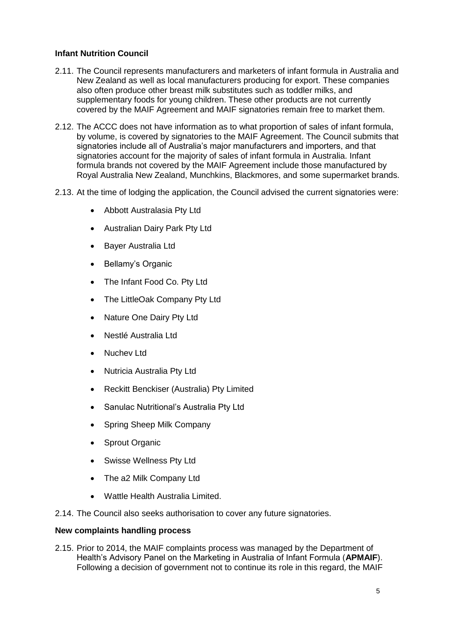#### **Infant Nutrition Council**

- 2.11. The Council represents manufacturers and marketers of infant formula in Australia and New Zealand as well as local manufacturers producing for export. These companies also often produce other breast milk substitutes such as toddler milks, and supplementary foods for young children. These other products are not currently covered by the MAIF Agreement and MAIF signatories remain free to market them.
- 2.12. The ACCC does not have information as to what proportion of sales of infant formula, by volume, is covered by signatories to the MAIF Agreement. The Council submits that signatories include all of Australia's major manufacturers and importers, and that signatories account for the majority of sales of infant formula in Australia. Infant formula brands not covered by the MAIF Agreement include those manufactured by Royal Australia New Zealand, Munchkins, Blackmores, and some supermarket brands.
- 2.13. At the time of lodging the application, the Council advised the current signatories were:
	- Abbott Australasia Pty Ltd
	- Australian Dairy Park Pty Ltd
	- Bayer Australia Ltd
	- Bellamy's Organic
	- The Infant Food Co. Pty Ltd
	- The LittleOak Company Pty Ltd
	- Nature One Dairy Pty Ltd
	- Nestlé Australia Ltd
	- Nuchev Ltd
	- Nutricia Australia Pty Ltd
	- Reckitt Benckiser (Australia) Pty Limited
	- Sanulac Nutritional's Australia Pty Ltd
	- Spring Sheep Milk Company
	- Sprout Organic
	- Swisse Wellness Pty Ltd
	- The a2 Milk Company Ltd
	- Wattle Health Australia Limited.
- 2.14. The Council also seeks authorisation to cover any future signatories.

#### **New complaints handling process**

2.15. Prior to 2014, the MAIF complaints process was managed by the Department of Health's Advisory Panel on the Marketing in Australia of Infant Formula (**APMAIF**). Following a decision of government not to continue its role in this regard, the MAIF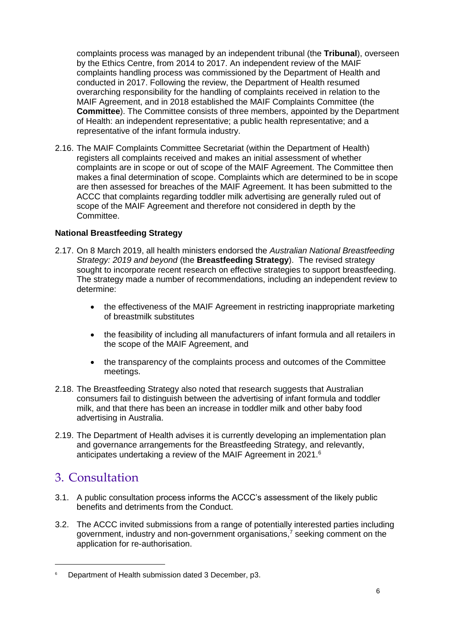complaints process was managed by an independent tribunal (the **Tribunal**), overseen by the Ethics Centre, from 2014 to 2017. An independent review of the MAIF complaints handling process was commissioned by the Department of Health and conducted in 2017. Following the review, the Department of Health resumed overarching responsibility for the handling of complaints received in relation to the MAIF Agreement, and in 2018 established the MAIF Complaints Committee (the **Committee**). The Committee consists of three members, appointed by the Department of Health: an independent representative; a public health representative; and a representative of the infant formula industry.

2.16. The MAIF Complaints Committee Secretariat (within the Department of Health) registers all complaints received and makes an initial assessment of whether complaints are in scope or out of scope of the MAIF Agreement. The Committee then makes a final determination of scope. Complaints which are determined to be in scope are then assessed for breaches of the MAIF Agreement. It has been submitted to the ACCC that complaints regarding toddler milk advertising are generally ruled out of scope of the MAIF Agreement and therefore not considered in depth by the Committee.

#### **National Breastfeeding Strategy**

- 2.17. On 8 March 2019, all health ministers endorsed the *Australian National Breastfeeding Strategy: 2019 and beyond* (the **Breastfeeding Strategy**). The revised strategy sought to incorporate recent research on effective strategies to support breastfeeding. The strategy made a number of recommendations, including an independent review to determine:
	- the effectiveness of the MAIF Agreement in restricting inappropriate marketing of breastmilk substitutes
	- the feasibility of including all manufacturers of infant formula and all retailers in the scope of the MAIF Agreement, and
	- the transparency of the complaints process and outcomes of the Committee meetings.
- 2.18. The Breastfeeding Strategy also noted that research suggests that Australian consumers fail to distinguish between the advertising of infant formula and toddler milk, and that there has been an increase in toddler milk and other baby food advertising in Australia.
- 2.19. The Department of Health advises it is currently developing an implementation plan and governance arrangements for the Breastfeeding Strategy, and relevantly, anticipates undertaking a review of the MAIF Agreement in 2021.<sup>6</sup>

# 3. Consultation

- 3.1. A public consultation process informs the ACCC's assessment of the likely public benefits and detriments from the Conduct.
- 3.2. The ACCC invited submissions from a range of potentially interested parties including government, industry and non-government organisations,<sup>7</sup> seeking comment on the application for re-authorisation.

<sup>&</sup>lt;sup>6</sup> Department of Health submission dated 3 December, p3.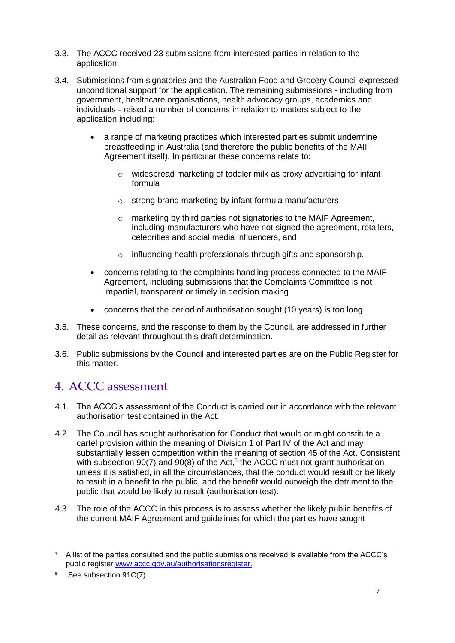- 3.3. The ACCC received 23 submissions from interested parties in relation to the application.
- 3.4. Submissions from signatories and the Australian Food and Grocery Council expressed unconditional support for the application. The remaining submissions - including from government, healthcare organisations, health advocacy groups, academics and individuals - raised a number of concerns in relation to matters subject to the application including:
	- a range of marketing practices which interested parties submit undermine breastfeeding in Australia (and therefore the public benefits of the MAIF Agreement itself). In particular these concerns relate to:
		- o widespread marketing of toddler milk as proxy advertising for infant formula
		- o strong brand marketing by infant formula manufacturers
		- o marketing by third parties not signatories to the MAIF Agreement, including manufacturers who have not signed the agreement, retailers, celebrities and social media influencers, and
		- o influencing health professionals through gifts and sponsorship.
	- concerns relating to the complaints handling process connected to the MAIF Agreement, including submissions that the Complaints Committee is not impartial, transparent or timely in decision making
	- concerns that the period of authorisation sought (10 years) is too long.
- 3.5. These concerns, and the response to them by the Council, are addressed in further detail as relevant throughout this draft determination.
- 3.6. Public submissions by the Council and interested parties are on the Public Register for this matter.

# 4. ACCC assessment

- 4.1. The ACCC's assessment of the Conduct is carried out in accordance with the relevant authorisation test contained in the Act.
- 4.2. The Council has sought authorisation for Conduct that would or might constitute a cartel provision within the meaning of Division 1 of Part IV of the Act and may substantially lessen competition within the meaning of section 45 of the Act. Consistent with subsection  $90(7)$  and  $90(8)$  of the Act, $8$  the ACCC must not grant authorisation unless it is satisfied, in all the circumstances, that the conduct would result or be likely to result in a benefit to the public, and the benefit would outweigh the detriment to the public that would be likely to result (authorisation test).
- 4.3. The role of the ACCC in this process is to assess whether the likely public benefits of the current MAIF Agreement and guidelines for which the parties have sought

 $7$  A list of the parties consulted and the public submissions received is available from the ACCC's public register [www.accc.gov.au/authorisationsregister.](http://www.accc.gov.au/authorisationsregister)

<sup>&</sup>lt;sup>8</sup> See subsection 91C(7).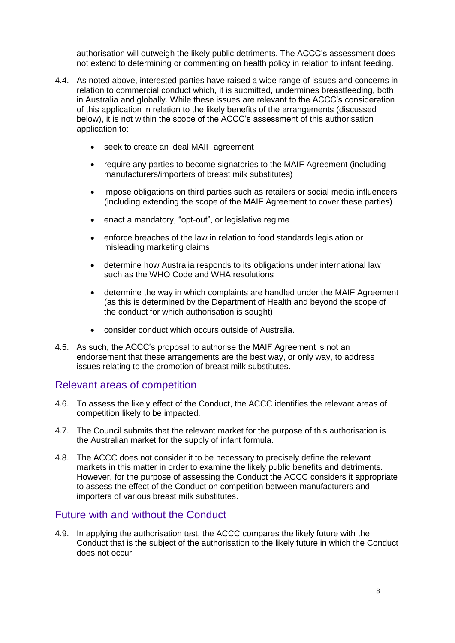authorisation will outweigh the likely public detriments. The ACCC's assessment does not extend to determining or commenting on health policy in relation to infant feeding.

- 4.4. As noted above, interested parties have raised a wide range of issues and concerns in relation to commercial conduct which, it is submitted, undermines breastfeeding, both in Australia and globally. While these issues are relevant to the ACCC's consideration of this application in relation to the likely benefits of the arrangements (discussed below), it is not within the scope of the ACCC's assessment of this authorisation application to:
	- seek to create an ideal MAIF agreement
	- require any parties to become signatories to the MAIF Agreement (including manufacturers/importers of breast milk substitutes)
	- impose obligations on third parties such as retailers or social media influencers (including extending the scope of the MAIF Agreement to cover these parties)
	- enact a mandatory, "opt-out", or legislative regime
	- enforce breaches of the law in relation to food standards legislation or misleading marketing claims
	- determine how Australia responds to its obligations under international law such as the WHO Code and WHA resolutions
	- determine the way in which complaints are handled under the MAIF Agreement (as this is determined by the Department of Health and beyond the scope of the conduct for which authorisation is sought)
	- consider conduct which occurs outside of Australia.
- 4.5. As such, the ACCC's proposal to authorise the MAIF Agreement is not an endorsement that these arrangements are the best way, or only way, to address issues relating to the promotion of breast milk substitutes.

## Relevant areas of competition

- 4.6. To assess the likely effect of the Conduct, the ACCC identifies the relevant areas of competition likely to be impacted.
- 4.7. The Council submits that the relevant market for the purpose of this authorisation is the Australian market for the supply of infant formula.
- 4.8. The ACCC does not consider it to be necessary to precisely define the relevant markets in this matter in order to examine the likely public benefits and detriments. However, for the purpose of assessing the Conduct the ACCC considers it appropriate to assess the effect of the Conduct on competition between manufacturers and importers of various breast milk substitutes.

## Future with and without the Conduct

4.9. In applying the authorisation test, the ACCC compares the likely future with the Conduct that is the subject of the authorisation to the likely future in which the Conduct does not occur.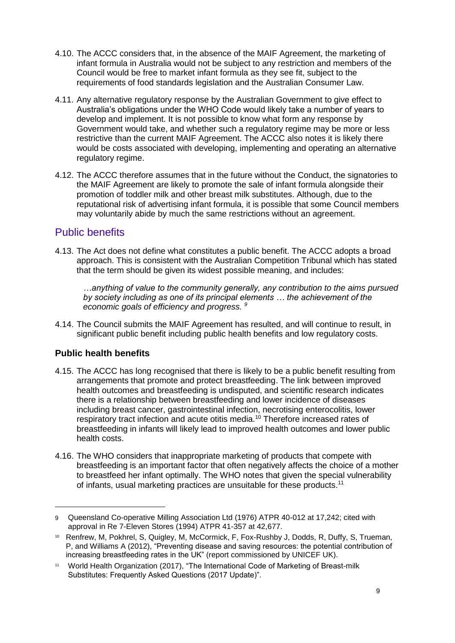- 4.10. The ACCC considers that, in the absence of the MAIF Agreement, the marketing of infant formula in Australia would not be subject to any restriction and members of the Council would be free to market infant formula as they see fit, subject to the requirements of food standards legislation and the Australian Consumer Law.
- 4.11. Any alternative regulatory response by the Australian Government to give effect to Australia's obligations under the WHO Code would likely take a number of years to develop and implement. It is not possible to know what form any response by Government would take, and whether such a regulatory regime may be more or less restrictive than the current MAIF Agreement. The ACCC also notes it is likely there would be costs associated with developing, implementing and operating an alternative regulatory regime.
- 4.12. The ACCC therefore assumes that in the future without the Conduct, the signatories to the MAIF Agreement are likely to promote the sale of infant formula alongside their promotion of toddler milk and other breast milk substitutes. Although, due to the reputational risk of advertising infant formula, it is possible that some Council members may voluntarily abide by much the same restrictions without an agreement.

## Public benefits

4.13. The Act does not define what constitutes a public benefit. The ACCC adopts a broad approach. This is consistent with the Australian Competition Tribunal which has stated that the term should be given its widest possible meaning, and includes:

*…anything of value to the community generally, any contribution to the aims pursued by society including as one of its principal elements … the achievement of the economic goals of efficiency and progress. <sup>9</sup>*

4.14. The Council submits the MAIF Agreement has resulted, and will continue to result, in significant public benefit including public health benefits and low regulatory costs.

## **Public health benefits**

- 4.15. The ACCC has long recognised that there is likely to be a public benefit resulting from arrangements that promote and protect breastfeeding. The link between improved health outcomes and breastfeeding is undisputed, and scientific research indicates there is a relationship between breastfeeding and lower incidence of diseases including breast cancer, gastrointestinal infection, necrotising enterocolitis, lower respiratory tract infection and acute otitis media.<sup>10</sup> Therefore increased rates of breastfeeding in infants will likely lead to improved health outcomes and lower public health costs.
- 4.16. The WHO considers that inappropriate marketing of products that compete with breastfeeding is an important factor that often negatively affects the choice of a mother to breastfeed her infant optimally. The WHO notes that given the special vulnerability of infants, usual marketing practices are unsuitable for these products.<sup>11</sup>

<sup>9</sup> Queensland Co-operative Milling Association Ltd (1976) ATPR 40-012 at 17,242; cited with approval in Re 7-Eleven Stores (1994) ATPR 41-357 at 42,677.

<sup>10</sup> Renfrew, M, Pokhrel, S, Quigley, M, McCormick, F, Fox-Rushby J, Dodds, R, Duffy, S, Trueman, P, and Williams A (2012), "Preventing disease and saving resources: the potential contribution of increasing breastfeeding rates in the UK" (report commissioned by UNICEF UK).

<sup>11</sup> World Health Organization (2017), "The International Code of Marketing of Breast-milk Substitutes: Frequently Asked Questions (2017 Update)".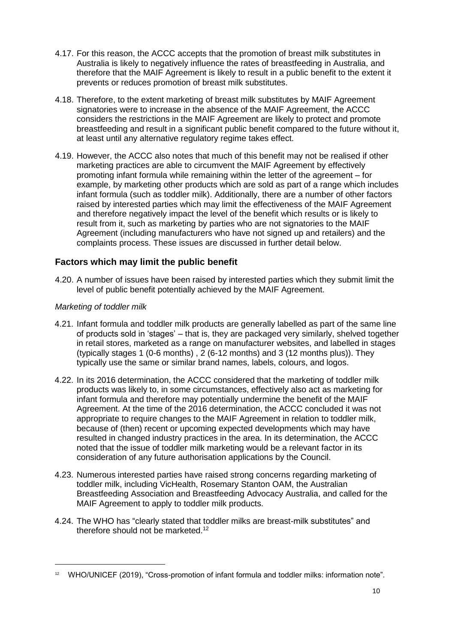- 4.17. For this reason, the ACCC accepts that the promotion of breast milk substitutes in Australia is likely to negatively influence the rates of breastfeeding in Australia, and therefore that the MAIF Agreement is likely to result in a public benefit to the extent it prevents or reduces promotion of breast milk substitutes.
- 4.18. Therefore, to the extent marketing of breast milk substitutes by MAIF Agreement signatories were to increase in the absence of the MAIF Agreement, the ACCC considers the restrictions in the MAIF Agreement are likely to protect and promote breastfeeding and result in a significant public benefit compared to the future without it, at least until any alternative regulatory regime takes effect.
- 4.19. However, the ACCC also notes that much of this benefit may not be realised if other marketing practices are able to circumvent the MAIF Agreement by effectively promoting infant formula while remaining within the letter of the agreement – for example, by marketing other products which are sold as part of a range which includes infant formula (such as toddler milk). Additionally, there are a number of other factors raised by interested parties which may limit the effectiveness of the MAIF Agreement and therefore negatively impact the level of the benefit which results or is likely to result from it, such as marketing by parties who are not signatories to the MAIF Agreement (including manufacturers who have not signed up and retailers) and the complaints process. These issues are discussed in further detail below.

## **Factors which may limit the public benefit**

4.20. A number of issues have been raised by interested parties which they submit limit the level of public benefit potentially achieved by the MAIF Agreement.

#### *Marketing of toddler milk*

- 4.21. Infant formula and toddler milk products are generally labelled as part of the same line of products sold in 'stages' – that is, they are packaged very similarly, shelved together in retail stores, marketed as a range on manufacturer websites, and labelled in stages (typically stages 1 (0-6 months) , 2 (6-12 months) and 3 (12 months plus)). They typically use the same or similar brand names, labels, colours, and logos.
- 4.22. In its 2016 determination, the ACCC considered that the marketing of toddler milk products was likely to, in some circumstances, effectively also act as marketing for infant formula and therefore may potentially undermine the benefit of the MAIF Agreement. At the time of the 2016 determination, the ACCC concluded it was not appropriate to require changes to the MAIF Agreement in relation to toddler milk, because of (then) recent or upcoming expected developments which may have resulted in changed industry practices in the area. In its determination, the ACCC noted that the issue of toddler milk marketing would be a relevant factor in its consideration of any future authorisation applications by the Council.
- 4.23. Numerous interested parties have raised strong concerns regarding marketing of toddler milk, including VicHealth, Rosemary Stanton OAM, the Australian Breastfeeding Association and Breastfeeding Advocacy Australia, and called for the MAIF Agreement to apply to toddler milk products.
- 4.24. The WHO has "clearly stated that toddler milks are breast-milk substitutes" and therefore should not be marketed.<sup>12</sup>

<sup>12</sup> WHO/UNICEF (2019), "Cross-promotion of infant formula and toddler milks: information note".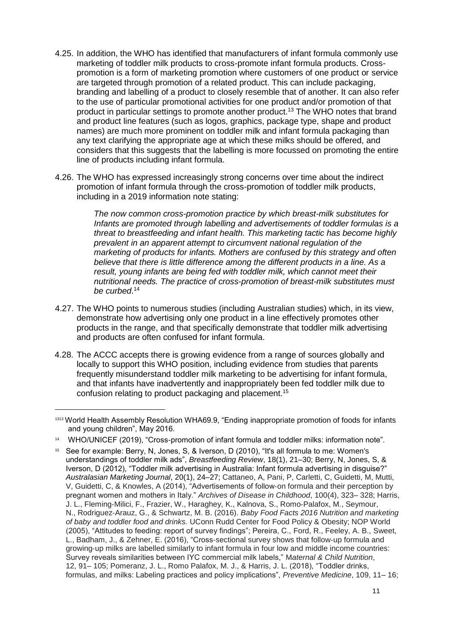- 4.25. In addition, the WHO has identified that manufacturers of infant formula commonly use marketing of toddler milk products to cross-promote infant formula products. Crosspromotion is a form of marketing promotion where customers of one product or service are targeted through promotion of a related product. This can include packaging, branding and labelling of a product to closely resemble that of another. It can also refer to the use of particular promotional activities for one product and/or promotion of that product in particular settings to promote another product.<sup>13</sup> The WHO notes that brand and product line features (such as logos, graphics, package type, shape and product names) are much more prominent on toddler milk and infant formula packaging than any text clarifying the appropriate age at which these milks should be offered, and considers that this suggests that the labelling is more focussed on promoting the entire line of products including infant formula.
- 4.26. The WHO has expressed increasingly strong concerns over time about the indirect promotion of infant formula through the cross-promotion of toddler milk products, including in a 2019 information note stating:

*The now common cross-promotion practice by which breast-milk substitutes for Infants are promoted through labelling and advertisements of toddler formulas is a threat to breastfeeding and infant health. This marketing tactic has become highly prevalent in an apparent attempt to circumvent national regulation of the marketing of products for infants. Mothers are confused by this strategy and often believe that there is little difference among the different products in a line. As a result, young infants are being fed with toddler milk, which cannot meet their nutritional needs. The practice of cross-promotion of breast-milk substitutes must be curbed*. 14

- 4.27. The WHO points to numerous studies (including Australian studies) which, in its view, demonstrate how advertising only one product in a line effectively promotes other products in the range, and that specifically demonstrate that toddler milk advertising and products are often confused for infant formula.
- 4.28. The ACCC accepts there is growing evidence from a range of sources globally and locally to support this WHO position, including evidence from studies that parents frequently misunderstand toddler milk marketing to be advertising for infant formula, and that infants have inadvertently and inappropriately been fed toddler milk due to confusion relating to product packaging and placement.<sup>15</sup>

<sup>1313</sup> World Health Assembly Resolution WHA69.9, "Ending inappropriate promotion of foods for infants and young children", May 2016.

<sup>14</sup> WHO/UNICEF (2019), "Cross-promotion of infant formula and toddler milks: information note".

<sup>15</sup> See for example: Berry, N, Jones, S, & Iverson, D (2010), "It's all formula to me: Women's understandings of toddler milk ads", *Breastfeeding Review*, 18(1), 21–30; Berry, N, Jones, S, & Iverson, D (2012), "Toddler milk advertising in Australia: Infant formula advertising in disguise?" *Australasian Marketing Journal*, 20(1), 24–27; Cattaneo, A, Pani, P, Carletti, C, Guidetti, M, Mutti, V, Guidetti, C, & Knowles, A (2014), "Advertisements of follow‐on formula and their perception by pregnant women and mothers in Italy." *Archives of Disease in Childhood*, 100(4), 323– 328; Harris, J. L., Fleming‐Milici, F., Frazier, W., Haraghey, K., Kalnova, S., Romo‐Palafox, M., Seymour, N., Rodriguez‐Arauz, G., & Schwartz, M. B. (2016). *Baby Food Facts 2016 Nutrition and marketing of baby and toddler food and drinks.* UConn Rudd Center for Food Policy & Obesity; NOP World (2005), "Attitudes to feeding: report of survey findings"; Pereira, C., Ford, R., Feeley, A. B., Sweet, L., Badham, J., & Zehner, E. (2016), "Cross‐sectional survey shows that follow‐up formula and growing‐up milks are labelled similarly to infant formula in four low and middle income countries: Survey reveals similarities between IYC commercial milk labels," M*aternal & Child Nutrition*, 12, 91– 105; Pomeranz, J. L., Romo Palafox, M. J., & Harris, J. L. (2018), "Toddler drinks, formulas, and milks: Labeling practices and policy implications", *Preventive Medicine*, 109, 11– 16;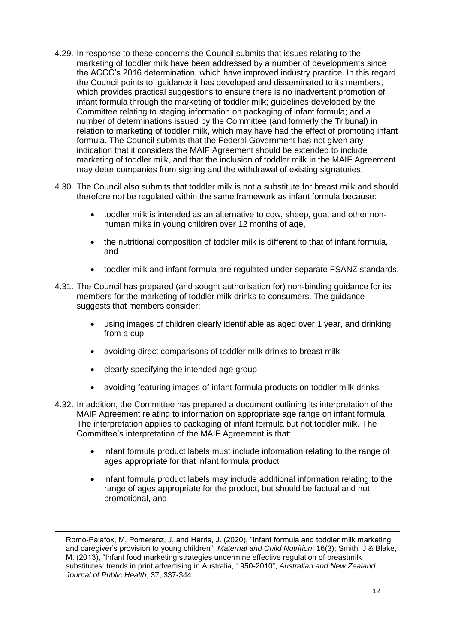- 4.29. In response to these concerns the Council submits that issues relating to the marketing of toddler milk have been addressed by a number of developments since the ACCC's 2016 determination, which have improved industry practice. In this regard the Council points to: guidance it has developed and disseminated to its members, which provides practical suggestions to ensure there is no inadvertent promotion of infant formula through the marketing of toddler milk; guidelines developed by the Committee relating to staging information on packaging of infant formula; and a number of determinations issued by the Committee (and formerly the Tribunal) in relation to marketing of toddler milk, which may have had the effect of promoting infant formula. The Council submits that the Federal Government has not given any indication that it considers the MAIF Agreement should be extended to include marketing of toddler milk, and that the inclusion of toddler milk in the MAIF Agreement may deter companies from signing and the withdrawal of existing signatories.
- 4.30. The Council also submits that toddler milk is not a substitute for breast milk and should therefore not be regulated within the same framework as infant formula because:
	- toddler milk is intended as an alternative to cow, sheep, goat and other nonhuman milks in young children over 12 months of age.
	- the nutritional composition of toddler milk is different to that of infant formula, and
	- toddler milk and infant formula are regulated under separate FSANZ standards.
- 4.31. The Council has prepared (and sought authorisation for) non-binding guidance for its members for the marketing of toddler milk drinks to consumers. The guidance suggests that members consider:
	- using images of children clearly identifiable as aged over 1 year, and drinking from a cup
	- avoiding direct comparisons of toddler milk drinks to breast milk
	- clearly specifying the intended age group

- avoiding featuring images of infant formula products on toddler milk drinks.
- 4.32. In addition, the Committee has prepared a document outlining its interpretation of the MAIF Agreement relating to information on appropriate age range on infant formula. The interpretation applies to packaging of infant formula but not toddler milk. The Committee's interpretation of the MAIF Agreement is that:
	- infant formula product labels must include information relating to the range of ages appropriate for that infant formula product
	- infant formula product labels may include additional information relating to the range of ages appropriate for the product, but should be factual and not promotional, and

Romo-Palafox, M, Pomeranz, J, and Harris, J. (2020), "Infant formula and toddler milk marketing and caregiver's provision to young children", *Maternal and Child Nutrition*, 16(3); Smith, J & Blake, M. (2013), "Infant food marketing strategies undermine effective regulation of breastmilk substitutes: trends in print advertising in Australia, 1950-2010", *Australian and New Zealand Journal of Public Health*, 37, 337-344.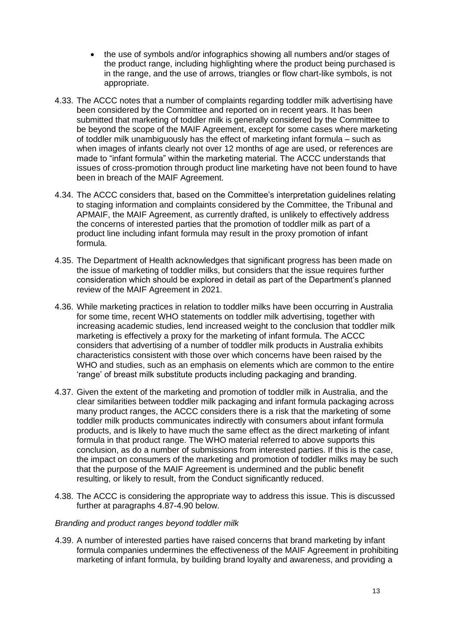- the use of symbols and/or infographics showing all numbers and/or stages of the product range, including highlighting where the product being purchased is in the range, and the use of arrows, triangles or flow chart-like symbols, is not appropriate.
- 4.33. The ACCC notes that a number of complaints regarding toddler milk advertising have been considered by the Committee and reported on in recent years. It has been submitted that marketing of toddler milk is generally considered by the Committee to be beyond the scope of the MAIF Agreement, except for some cases where marketing of toddler milk unambiguously has the effect of marketing infant formula – such as when images of infants clearly not over 12 months of age are used, or references are made to "infant formula" within the marketing material. The ACCC understands that issues of cross-promotion through product line marketing have not been found to have been in breach of the MAIF Agreement.
- 4.34. The ACCC considers that, based on the Committee's interpretation guidelines relating to staging information and complaints considered by the Committee, the Tribunal and APMAIF, the MAIF Agreement, as currently drafted, is unlikely to effectively address the concerns of interested parties that the promotion of toddler milk as part of a product line including infant formula may result in the proxy promotion of infant formula.
- 4.35. The Department of Health acknowledges that significant progress has been made on the issue of marketing of toddler milks, but considers that the issue requires further consideration which should be explored in detail as part of the Department's planned review of the MAIF Agreement in 2021.
- 4.36. While marketing practices in relation to toddler milks have been occurring in Australia for some time, recent WHO statements on toddler milk advertising, together with increasing academic studies, lend increased weight to the conclusion that toddler milk marketing is effectively a proxy for the marketing of infant formula. The ACCC considers that advertising of a number of toddler milk products in Australia exhibits characteristics consistent with those over which concerns have been raised by the WHO and studies, such as an emphasis on elements which are common to the entire 'range' of breast milk substitute products including packaging and branding.
- 4.37. Given the extent of the marketing and promotion of toddler milk in Australia, and the clear similarities between toddler milk packaging and infant formula packaging across many product ranges, the ACCC considers there is a risk that the marketing of some toddler milk products communicates indirectly with consumers about infant formula products, and is likely to have much the same effect as the direct marketing of infant formula in that product range. The WHO material referred to above supports this conclusion, as do a number of submissions from interested parties. If this is the case, the impact on consumers of the marketing and promotion of toddler milks may be such that the purpose of the MAIF Agreement is undermined and the public benefit resulting, or likely to result, from the Conduct significantly reduced.
- 4.38. The ACCC is considering the appropriate way to address this issue. This is discussed further at paragraphs 4.87-4.90 below.

#### *Branding and product ranges beyond toddler milk*

4.39. A number of interested parties have raised concerns that brand marketing by infant formula companies undermines the effectiveness of the MAIF Agreement in prohibiting marketing of infant formula, by building brand loyalty and awareness, and providing a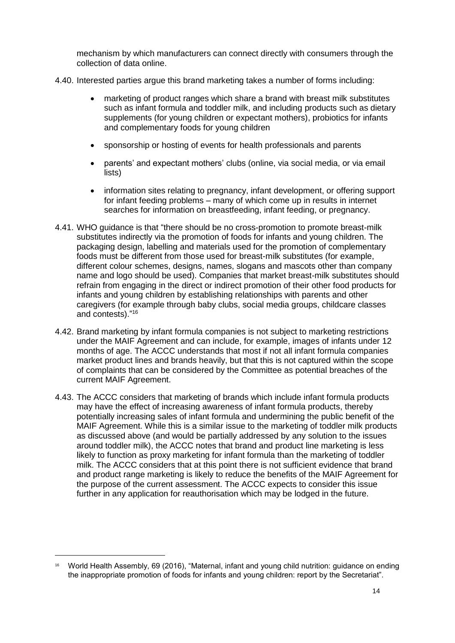mechanism by which manufacturers can connect directly with consumers through the collection of data online.

- 4.40. Interested parties argue this brand marketing takes a number of forms including:
	- marketing of product ranges which share a brand with breast milk substitutes such as infant formula and toddler milk, and including products such as dietary supplements (for young children or expectant mothers), probiotics for infants and complementary foods for young children
	- sponsorship or hosting of events for health professionals and parents
	- parents' and expectant mothers' clubs (online, via social media, or via email lists)
	- information sites relating to pregnancy, infant development, or offering support for infant feeding problems – many of which come up in results in internet searches for information on breastfeeding, infant feeding, or pregnancy.
- 4.41. WHO guidance is that "there should be no cross-promotion to promote breast-milk substitutes indirectly via the promotion of foods for infants and young children. The packaging design, labelling and materials used for the promotion of complementary foods must be different from those used for breast-milk substitutes (for example, different colour schemes, designs, names, slogans and mascots other than company name and logo should be used). Companies that market breast-milk substitutes should refrain from engaging in the direct or indirect promotion of their other food products for infants and young children by establishing relationships with parents and other caregivers (for example through baby clubs, social media groups, childcare classes and contests)." 16
- 4.42. Brand marketing by infant formula companies is not subject to marketing restrictions under the MAIF Agreement and can include, for example, images of infants under 12 months of age. The ACCC understands that most if not all infant formula companies market product lines and brands heavily, but that this is not captured within the scope of complaints that can be considered by the Committee as potential breaches of the current MAIF Agreement.
- 4.43. The ACCC considers that marketing of brands which include infant formula products may have the effect of increasing awareness of infant formula products, thereby potentially increasing sales of infant formula and undermining the public benefit of the MAIF Agreement. While this is a similar issue to the marketing of toddler milk products as discussed above (and would be partially addressed by any solution to the issues around toddler milk), the ACCC notes that brand and product line marketing is less likely to function as proxy marketing for infant formula than the marketing of toddler milk. The ACCC considers that at this point there is not sufficient evidence that brand and product range marketing is likely to reduce the benefits of the MAIF Agreement for the purpose of the current assessment. The ACCC expects to consider this issue further in any application for reauthorisation which may be lodged in the future.

<sup>16</sup> World Health Assembly, 69 (2016), "Maternal, infant and young child nutrition: guidance on ending the inappropriate promotion of foods for infants and young children: report by the Secretariat".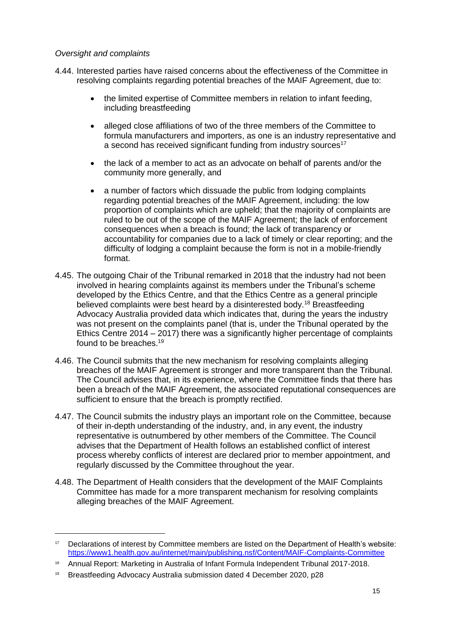#### *Oversight and complaints*

- 4.44. Interested parties have raised concerns about the effectiveness of the Committee in resolving complaints regarding potential breaches of the MAIF Agreement, due to:
	- the limited expertise of Committee members in relation to infant feeding, including breastfeeding
	- alleged close affiliations of two of the three members of the Committee to formula manufacturers and importers, as one is an industry representative and a second has received significant funding from industry sources<sup>17</sup>
	- the lack of a member to act as an advocate on behalf of parents and/or the community more generally, and
	- a number of factors which dissuade the public from lodging complaints regarding potential breaches of the MAIF Agreement, including: the low proportion of complaints which are upheld; that the majority of complaints are ruled to be out of the scope of the MAIF Agreement; the lack of enforcement consequences when a breach is found; the lack of transparency or accountability for companies due to a lack of timely or clear reporting; and the difficulty of lodging a complaint because the form is not in a mobile-friendly format.
- 4.45. The outgoing Chair of the Tribunal remarked in 2018 that the industry had not been involved in hearing complaints against its members under the Tribunal's scheme developed by the Ethics Centre, and that the Ethics Centre as a general principle believed complaints were best heard by a disinterested body.<sup>18</sup> Breastfeeding Advocacy Australia provided data which indicates that, during the years the industry was not present on the complaints panel (that is, under the Tribunal operated by the Ethics Centre 2014 – 2017) there was a significantly higher percentage of complaints found to be breaches.<sup>19</sup>
- 4.46. The Council submits that the new mechanism for resolving complaints alleging breaches of the MAIF Agreement is stronger and more transparent than the Tribunal. The Council advises that, in its experience, where the Committee finds that there has been a breach of the MAIF Agreement, the associated reputational consequences are sufficient to ensure that the breach is promptly rectified.
- 4.47. The Council submits the industry plays an important role on the Committee, because of their in-depth understanding of the industry, and, in any event, the industry representative is outnumbered by other members of the Committee. The Council advises that the Department of Health follows an established conflict of interest process whereby conflicts of interest are declared prior to member appointment, and regularly discussed by the Committee throughout the year.
- 4.48. The Department of Health considers that the development of the MAIF Complaints Committee has made for a more transparent mechanism for resolving complaints alleging breaches of the MAIF Agreement.

<sup>&</sup>lt;sup>17</sup> Declarations of interest by Committee members are listed on the Department of Health's website: <https://www1.health.gov.au/internet/main/publishing.nsf/Content/MAIF-Complaints-Committee>

<sup>18</sup> Annual Report: Marketing in Australia of Infant Formula Independent Tribunal 2017-2018.

<sup>19</sup> Breastfeeding Advocacy Australia submission dated 4 December 2020, p28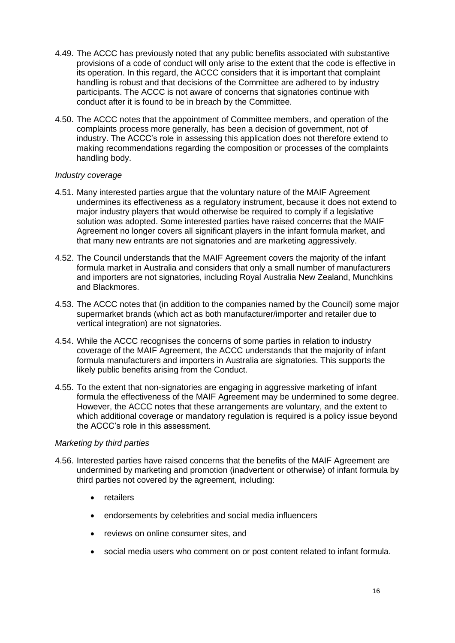- 4.49. The ACCC has previously noted that any public benefits associated with substantive provisions of a code of conduct will only arise to the extent that the code is effective in its operation. In this regard, the ACCC considers that it is important that complaint handling is robust and that decisions of the Committee are adhered to by industry participants. The ACCC is not aware of concerns that signatories continue with conduct after it is found to be in breach by the Committee.
- 4.50. The ACCC notes that the appointment of Committee members, and operation of the complaints process more generally, has been a decision of government, not of industry. The ACCC's role in assessing this application does not therefore extend to making recommendations regarding the composition or processes of the complaints handling body.

#### *Industry coverage*

- 4.51. Many interested parties argue that the voluntary nature of the MAIF Agreement undermines its effectiveness as a regulatory instrument, because it does not extend to major industry players that would otherwise be required to comply if a legislative solution was adopted. Some interested parties have raised concerns that the MAIF Agreement no longer covers all significant players in the infant formula market, and that many new entrants are not signatories and are marketing aggressively.
- 4.52. The Council understands that the MAIF Agreement covers the majority of the infant formula market in Australia and considers that only a small number of manufacturers and importers are not signatories, including Royal Australia New Zealand, Munchkins and Blackmores.
- 4.53. The ACCC notes that (in addition to the companies named by the Council) some major supermarket brands (which act as both manufacturer/importer and retailer due to vertical integration) are not signatories.
- 4.54. While the ACCC recognises the concerns of some parties in relation to industry coverage of the MAIF Agreement, the ACCC understands that the majority of infant formula manufacturers and importers in Australia are signatories. This supports the likely public benefits arising from the Conduct.
- 4.55. To the extent that non-signatories are engaging in aggressive marketing of infant formula the effectiveness of the MAIF Agreement may be undermined to some degree. However, the ACCC notes that these arrangements are voluntary, and the extent to which additional coverage or mandatory regulation is required is a policy issue beyond the ACCC's role in this assessment.

#### *Marketing by third parties*

- 4.56. Interested parties have raised concerns that the benefits of the MAIF Agreement are undermined by marketing and promotion (inadvertent or otherwise) of infant formula by third parties not covered by the agreement, including:
	- retailers
	- endorsements by celebrities and social media influencers
	- reviews on online consumer sites, and
	- social media users who comment on or post content related to infant formula.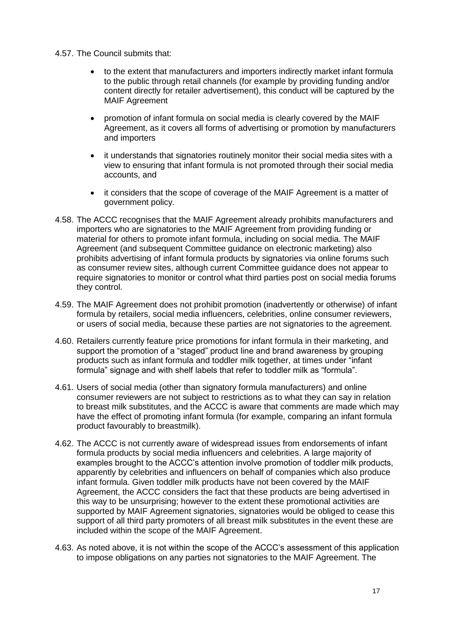- 4.57. The Council submits that:
	- to the extent that manufacturers and importers indirectly market infant formula to the public through retail channels (for example by providing funding and/or content directly for retailer advertisement), this conduct will be captured by the MAIF Agreement
	- promotion of infant formula on social media is clearly covered by the MAIF Agreement, as it covers all forms of advertising or promotion by manufacturers and importers
	- it understands that signatories routinely monitor their social media sites with a view to ensuring that infant formula is not promoted through their social media accounts, and
	- it considers that the scope of coverage of the MAIF Agreement is a matter of government policy.
- 4.58. The ACCC recognises that the MAIF Agreement already prohibits manufacturers and importers who are signatories to the MAIF Agreement from providing funding or material for others to promote infant formula, including on social media. The MAIF Agreement (and subsequent Committee guidance on electronic marketing) also prohibits advertising of infant formula products by signatories via online forums such as consumer review sites, although current Committee guidance does not appear to require signatories to monitor or control what third parties post on social media forums they control.
- 4.59. The MAIF Agreement does not prohibit promotion (inadvertently or otherwise) of infant formula by retailers, social media influencers, celebrities, online consumer reviewers, or users of social media, because these parties are not signatories to the agreement.
- 4.60. Retailers currently feature price promotions for infant formula in their marketing, and support the promotion of a "staged" product line and brand awareness by grouping products such as infant formula and toddler milk together, at times under "infant formula" signage and with shelf labels that refer to toddler milk as "formula".
- 4.61. Users of social media (other than signatory formula manufacturers) and online consumer reviewers are not subject to restrictions as to what they can say in relation to breast milk substitutes, and the ACCC is aware that comments are made which may have the effect of promoting infant formula (for example, comparing an infant formula product favourably to breastmilk).
- 4.62. The ACCC is not currently aware of widespread issues from endorsements of infant formula products by social media influencers and celebrities. A large majority of examples brought to the ACCC's attention involve promotion of toddler milk products, apparently by celebrities and influencers on behalf of companies which also produce infant formula. Given toddler milk products have not been covered by the MAIF Agreement, the ACCC considers the fact that these products are being advertised in this way to be unsurprising; however to the extent these promotional activities are supported by MAIF Agreement signatories, signatories would be obliged to cease this support of all third party promoters of all breast milk substitutes in the event these are included within the scope of the MAIF Agreement.
- 4.63. As noted above, it is not within the scope of the ACCC's assessment of this application to impose obligations on any parties not signatories to the MAIF Agreement. The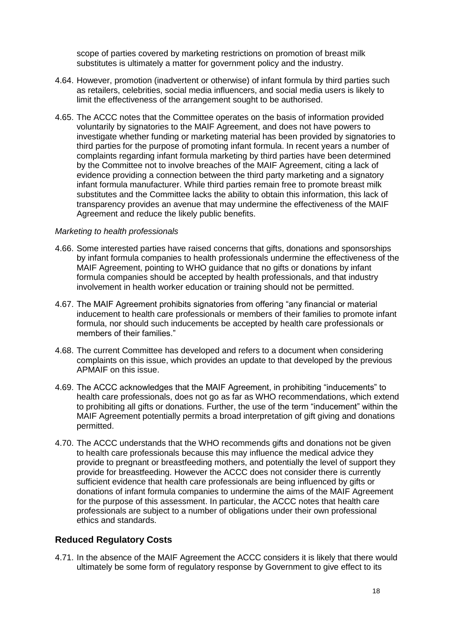scope of parties covered by marketing restrictions on promotion of breast milk substitutes is ultimately a matter for government policy and the industry.

- 4.64. However, promotion (inadvertent or otherwise) of infant formula by third parties such as retailers, celebrities, social media influencers, and social media users is likely to limit the effectiveness of the arrangement sought to be authorised.
- 4.65. The ACCC notes that the Committee operates on the basis of information provided voluntarily by signatories to the MAIF Agreement, and does not have powers to investigate whether funding or marketing material has been provided by signatories to third parties for the purpose of promoting infant formula. In recent years a number of complaints regarding infant formula marketing by third parties have been determined by the Committee not to involve breaches of the MAIF Agreement, citing a lack of evidence providing a connection between the third party marketing and a signatory infant formula manufacturer. While third parties remain free to promote breast milk substitutes and the Committee lacks the ability to obtain this information, this lack of transparency provides an avenue that may undermine the effectiveness of the MAIF Agreement and reduce the likely public benefits.

#### *Marketing to health professionals*

- 4.66. Some interested parties have raised concerns that gifts, donations and sponsorships by infant formula companies to health professionals undermine the effectiveness of the MAIF Agreement, pointing to WHO guidance that no gifts or donations by infant formula companies should be accepted by health professionals, and that industry involvement in health worker education or training should not be permitted.
- 4.67. The MAIF Agreement prohibits signatories from offering "any financial or material inducement to health care professionals or members of their families to promote infant formula, nor should such inducements be accepted by health care professionals or members of their families."
- 4.68. The current Committee has developed and refers to a document when considering complaints on this issue, which provides an update to that developed by the previous APMAIF on this issue.
- 4.69. The ACCC acknowledges that the MAIF Agreement, in prohibiting "inducements" to health care professionals, does not go as far as WHO recommendations, which extend to prohibiting all gifts or donations. Further, the use of the term "inducement" within the MAIF Agreement potentially permits a broad interpretation of gift giving and donations permitted.
- 4.70. The ACCC understands that the WHO recommends gifts and donations not be given to health care professionals because this may influence the medical advice they provide to pregnant or breastfeeding mothers, and potentially the level of support they provide for breastfeeding. However the ACCC does not consider there is currently sufficient evidence that health care professionals are being influenced by gifts or donations of infant formula companies to undermine the aims of the MAIF Agreement for the purpose of this assessment. In particular, the ACCC notes that health care professionals are subject to a number of obligations under their own professional ethics and standards.

#### **Reduced Regulatory Costs**

4.71. In the absence of the MAIF Agreement the ACCC considers it is likely that there would ultimately be some form of regulatory response by Government to give effect to its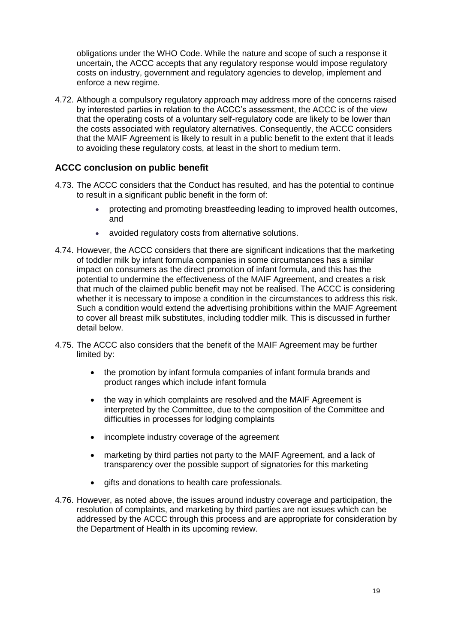obligations under the WHO Code. While the nature and scope of such a response it uncertain, the ACCC accepts that any regulatory response would impose regulatory costs on industry, government and regulatory agencies to develop, implement and enforce a new regime.

4.72. Although a compulsory regulatory approach may address more of the concerns raised by interested parties in relation to the ACCC's assessment, the ACCC is of the view that the operating costs of a voluntary self-regulatory code are likely to be lower than the costs associated with regulatory alternatives. Consequently, the ACCC considers that the MAIF Agreement is likely to result in a public benefit to the extent that it leads to avoiding these regulatory costs, at least in the short to medium term.

## **ACCC conclusion on public benefit**

- 4.73. The ACCC considers that the Conduct has resulted, and has the potential to continue to result in a significant public benefit in the form of:
	- protecting and promoting breastfeeding leading to improved health outcomes, and
	- avoided regulatory costs from alternative solutions.
- 4.74. However, the ACCC considers that there are significant indications that the marketing of toddler milk by infant formula companies in some circumstances has a similar impact on consumers as the direct promotion of infant formula, and this has the potential to undermine the effectiveness of the MAIF Agreement, and creates a risk that much of the claimed public benefit may not be realised. The ACCC is considering whether it is necessary to impose a condition in the circumstances to address this risk. Such a condition would extend the advertising prohibitions within the MAIF Agreement to cover all breast milk substitutes, including toddler milk. This is discussed in further detail below.
- 4.75. The ACCC also considers that the benefit of the MAIF Agreement may be further limited by:
	- the promotion by infant formula companies of infant formula brands and product ranges which include infant formula
	- the way in which complaints are resolved and the MAIF Agreement is interpreted by the Committee, due to the composition of the Committee and difficulties in processes for lodging complaints
	- incomplete industry coverage of the agreement
	- marketing by third parties not party to the MAIF Agreement, and a lack of transparency over the possible support of signatories for this marketing
	- **e** gifts and donations to health care professionals.
- 4.76. However, as noted above, the issues around industry coverage and participation, the resolution of complaints, and marketing by third parties are not issues which can be addressed by the ACCC through this process and are appropriate for consideration by the Department of Health in its upcoming review.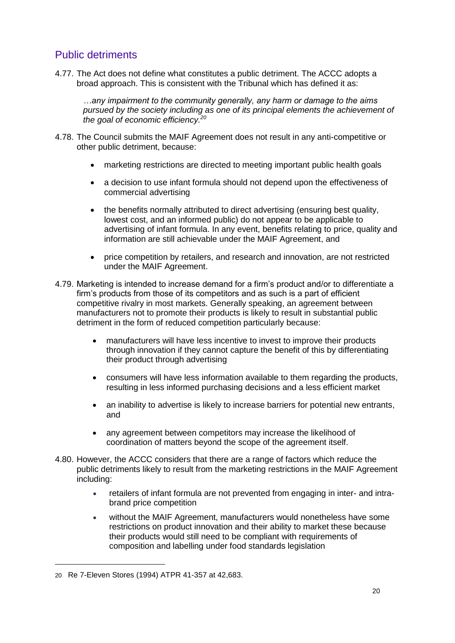# Public detriments

4.77. The Act does not define what constitutes a public detriment. The ACCC adopts a broad approach. This is consistent with the Tribunal which has defined it as:

*…any impairment to the community generally, any harm or damage to the aims pursued by the society including as one of its principal elements the achievement of the goal of economic efficiency.<sup>20</sup>*

- 4.78. The Council submits the MAIF Agreement does not result in any anti-competitive or other public detriment, because:
	- marketing restrictions are directed to meeting important public health goals
	- a decision to use infant formula should not depend upon the effectiveness of commercial advertising
	- the benefits normally attributed to direct advertising (ensuring best quality, lowest cost, and an informed public) do not appear to be applicable to advertising of infant formula. In any event, benefits relating to price, quality and information are still achievable under the MAIF Agreement, and
	- price competition by retailers, and research and innovation, are not restricted under the MAIF Agreement.
- 4.79. Marketing is intended to increase demand for a firm's product and/or to differentiate a firm's products from those of its competitors and as such is a part of efficient competitive rivalry in most markets. Generally speaking, an agreement between manufacturers not to promote their products is likely to result in substantial public detriment in the form of reduced competition particularly because:
	- manufacturers will have less incentive to invest to improve their products through innovation if they cannot capture the benefit of this by differentiating their product through advertising
	- consumers will have less information available to them regarding the products, resulting in less informed purchasing decisions and a less efficient market
	- an inability to advertise is likely to increase barriers for potential new entrants, and
	- any agreement between competitors may increase the likelihood of coordination of matters beyond the scope of the agreement itself.
- 4.80. However, the ACCC considers that there are a range of factors which reduce the public detriments likely to result from the marketing restrictions in the MAIF Agreement including:
	- retailers of infant formula are not prevented from engaging in inter- and intrabrand price competition
	- without the MAIF Agreement, manufacturers would nonetheless have some restrictions on product innovation and their ability to market these because their products would still need to be compliant with requirements of composition and labelling under food standards legislation

<sup>20</sup> Re 7-Eleven Stores (1994) ATPR 41-357 at 42,683.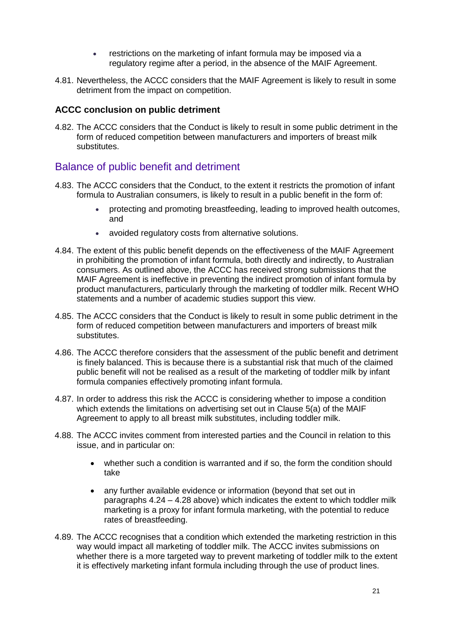- restrictions on the marketing of infant formula may be imposed via a regulatory regime after a period, in the absence of the MAIF Agreement.
- 4.81. Nevertheless, the ACCC considers that the MAIF Agreement is likely to result in some detriment from the impact on competition.

#### **ACCC conclusion on public detriment**

4.82. The ACCC considers that the Conduct is likely to result in some public detriment in the form of reduced competition between manufacturers and importers of breast milk substitutes.

## Balance of public benefit and detriment

- 4.83. The ACCC considers that the Conduct, to the extent it restricts the promotion of infant formula to Australian consumers, is likely to result in a public benefit in the form of:
	- protecting and promoting breastfeeding, leading to improved health outcomes, and
	- avoided regulatory costs from alternative solutions.
- 4.84. The extent of this public benefit depends on the effectiveness of the MAIF Agreement in prohibiting the promotion of infant formula, both directly and indirectly, to Australian consumers. As outlined above, the ACCC has received strong submissions that the MAIF Agreement is ineffective in preventing the indirect promotion of infant formula by product manufacturers, particularly through the marketing of toddler milk. Recent WHO statements and a number of academic studies support this view.
- 4.85. The ACCC considers that the Conduct is likely to result in some public detriment in the form of reduced competition between manufacturers and importers of breast milk substitutes.
- 4.86. The ACCC therefore considers that the assessment of the public benefit and detriment is finely balanced. This is because there is a substantial risk that much of the claimed public benefit will not be realised as a result of the marketing of toddler milk by infant formula companies effectively promoting infant formula.
- 4.87. In order to address this risk the ACCC is considering whether to impose a condition which extends the limitations on advertising set out in Clause 5(a) of the MAIF Agreement to apply to all breast milk substitutes, including toddler milk.
- 4.88. The ACCC invites comment from interested parties and the Council in relation to this issue, and in particular on:
	- whether such a condition is warranted and if so, the form the condition should take
	- any further available evidence or information (beyond that set out in paragraphs 4.24 – 4.28 above) which indicates the extent to which toddler milk marketing is a proxy for infant formula marketing, with the potential to reduce rates of breastfeeding.
- 4.89. The ACCC recognises that a condition which extended the marketing restriction in this way would impact all marketing of toddler milk. The ACCC invites submissions on whether there is a more targeted way to prevent marketing of toddler milk to the extent it is effectively marketing infant formula including through the use of product lines.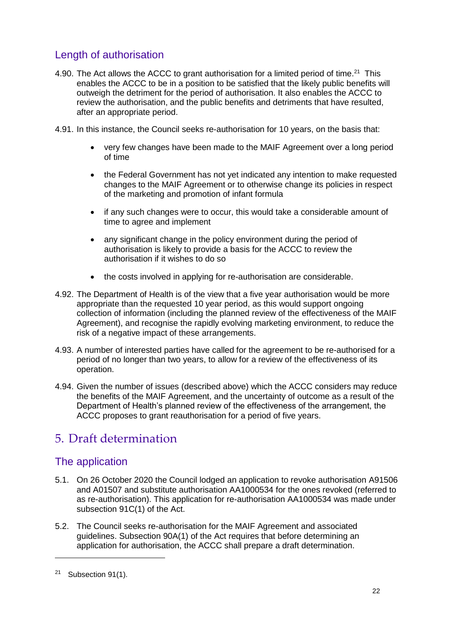# Length of authorisation

- 4.90. The Act allows the ACCC to grant authorisation for a limited period of time.<sup>21</sup> This enables the ACCC to be in a position to be satisfied that the likely public benefits will outweigh the detriment for the period of authorisation. It also enables the ACCC to review the authorisation, and the public benefits and detriments that have resulted, after an appropriate period.
- 4.91. In this instance, the Council seeks re-authorisation for 10 years, on the basis that:
	- very few changes have been made to the MAIF Agreement over a long period of time
	- the Federal Government has not yet indicated any intention to make requested changes to the MAIF Agreement or to otherwise change its policies in respect of the marketing and promotion of infant formula
	- if any such changes were to occur, this would take a considerable amount of time to agree and implement
	- any significant change in the policy environment during the period of authorisation is likely to provide a basis for the ACCC to review the authorisation if it wishes to do so
	- the costs involved in applying for re-authorisation are considerable.
- 4.92. The Department of Health is of the view that a five year authorisation would be more appropriate than the requested 10 year period, as this would support ongoing collection of information (including the planned review of the effectiveness of the MAIF Agreement), and recognise the rapidly evolving marketing environment, to reduce the risk of a negative impact of these arrangements.
- 4.93. A number of interested parties have called for the agreement to be re-authorised for a period of no longer than two years, to allow for a review of the effectiveness of its operation.
- 4.94. Given the number of issues (described above) which the ACCC considers may reduce the benefits of the MAIF Agreement, and the uncertainty of outcome as a result of the Department of Health's planned review of the effectiveness of the arrangement, the ACCC proposes to grant reauthorisation for a period of five years.

# 5. Draft determination

## The application

- 5.1. On 26 October 2020 the Council lodged an application to revoke authorisation A91506 and A01507 and substitute authorisation AA1000534 for the ones revoked (referred to as re-authorisation). This application for re-authorisation AA1000534 was made under subsection 91C(1) of the Act.
- 5.2. The Council seeks re-authorisation for the MAIF Agreement and associated guidelines. Subsection 90A(1) of the Act requires that before determining an application for authorisation, the ACCC shall prepare a draft determination.

<sup>21</sup> Subsection 91(1).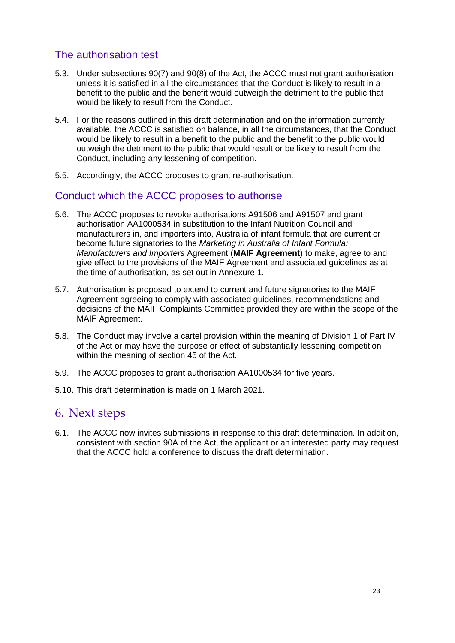# The authorisation test

- 5.3. Under subsections 90(7) and 90(8) of the Act, the ACCC must not grant authorisation unless it is satisfied in all the circumstances that the Conduct is likely to result in a benefit to the public and the benefit would outweigh the detriment to the public that would be likely to result from the Conduct.
- 5.4. For the reasons outlined in this draft determination and on the information currently available, the ACCC is satisfied on balance, in all the circumstances, that the Conduct would be likely to result in a benefit to the public and the benefit to the public would outweigh the detriment to the public that would result or be likely to result from the Conduct, including any lessening of competition.
- 5.5. Accordingly, the ACCC proposes to grant re-authorisation.

## Conduct which the ACCC proposes to authorise

- 5.6. The ACCC proposes to revoke authorisations A91506 and A91507 and grant authorisation AA1000534 in substitution to the Infant Nutrition Council and manufacturers in, and importers into, Australia of infant formula that are current or become future signatories to the *Marketing in Australia of Infant Formula: Manufacturers and Importers* Agreement (**MAIF Agreement**) to make, agree to and give effect to the provisions of the MAIF Agreement and associated guidelines as at the time of authorisation, as set out in Annexure 1.
- 5.7. Authorisation is proposed to extend to current and future signatories to the MAIF Agreement agreeing to comply with associated guidelines, recommendations and decisions of the MAIF Complaints Committee provided they are within the scope of the MAIF Agreement.
- 5.8. The Conduct may involve a cartel provision within the meaning of Division 1 of Part IV of the Act or may have the purpose or effect of substantially lessening competition within the meaning of section 45 of the Act.
- 5.9. The ACCC proposes to grant authorisation AA1000534 for five years.
- 5.10. This draft determination is made on 1 March 2021.

# 6. Next steps

6.1. The ACCC now invites submissions in response to this draft determination. In addition, consistent with section 90A of the Act, the applicant or an interested party may request that the ACCC hold a conference to discuss the draft determination.